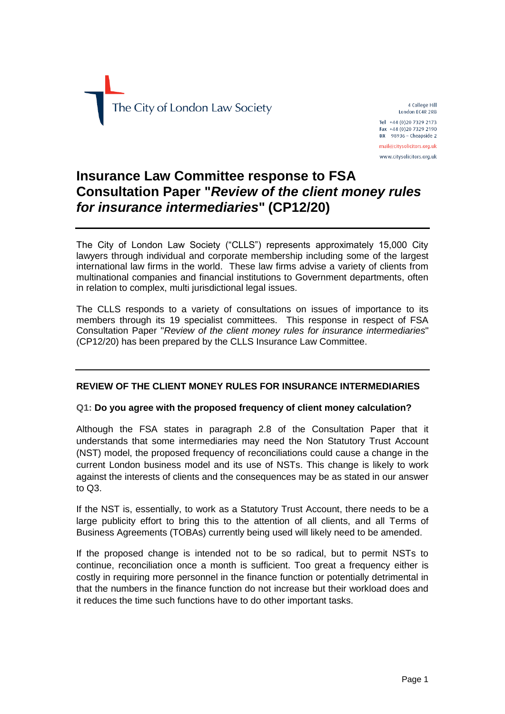

4 College Hill London EC4R 2RB Tel +44 (0)20 7329 2173 Fax +44 (0)20 7329 2190  $DX$  98936 - Cheapside 2 mail@citysolicitors.org.uk

www.citysolicitors.org.uk

# **Insurance Law Committee response to FSA Consultation Paper "***Review of the client money rules for insurance intermediaries***" (CP12/20)**

The City of London Law Society ("CLLS") represents approximately 15,000 City lawyers through individual and corporate membership including some of the largest international law firms in the world. These law firms advise a variety of clients from multinational companies and financial institutions to Government departments, often in relation to complex, multi jurisdictional legal issues.

The CLLS responds to a variety of consultations on issues of importance to its members through its 19 specialist committees. This response in respect of FSA Consultation Paper "*Review of the client money rules for insurance intermediaries*" (CP12/20) has been prepared by the CLLS Insurance Law Committee.

# **REVIEW OF THE CLIENT MONEY RULES FOR INSURANCE INTERMEDIARIES**

# **Q1: Do you agree with the proposed frequency of client money calculation?**

Although the FSA states in paragraph 2.8 of the Consultation Paper that it understands that some intermediaries may need the Non Statutory Trust Account (NST) model, the proposed frequency of reconciliations could cause a change in the current London business model and its use of NSTs. This change is likely to work against the interests of clients and the consequences may be as stated in our answer to Q3.

If the NST is, essentially, to work as a Statutory Trust Account, there needs to be a large publicity effort to bring this to the attention of all clients, and all Terms of Business Agreements (TOBAs) currently being used will likely need to be amended.

If the proposed change is intended not to be so radical, but to permit NSTs to continue, reconciliation once a month is sufficient. Too great a frequency either is costly in requiring more personnel in the finance function or potentially detrimental in that the numbers in the finance function do not increase but their workload does and it reduces the time such functions have to do other important tasks.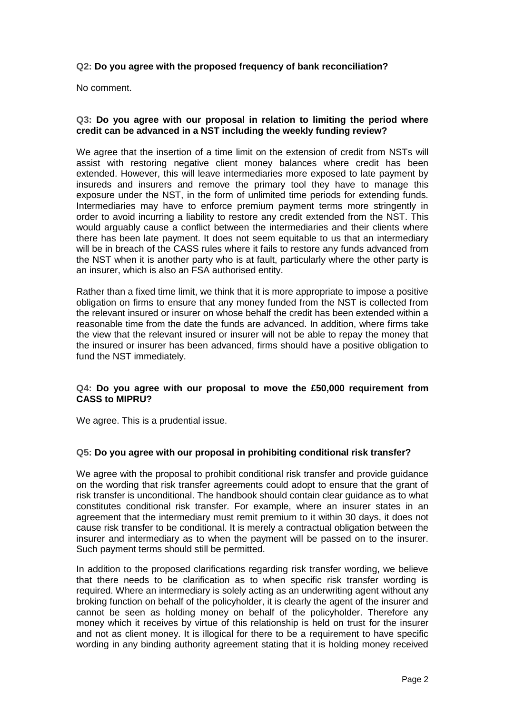# **Q2: Do you agree with the proposed frequency of bank reconciliation?**

No comment.

## **Q3: Do you agree with our proposal in relation to limiting the period where credit can be advanced in a NST including the weekly funding review?**

We agree that the insertion of a time limit on the extension of credit from NSTs will assist with restoring negative client money balances where credit has been extended. However, this will leave intermediaries more exposed to late payment by insureds and insurers and remove the primary tool they have to manage this exposure under the NST, in the form of unlimited time periods for extending funds. Intermediaries may have to enforce premium payment terms more stringently in order to avoid incurring a liability to restore any credit extended from the NST. This would arguably cause a conflict between the intermediaries and their clients where there has been late payment. It does not seem equitable to us that an intermediary will be in breach of the CASS rules where it fails to restore any funds advanced from the NST when it is another party who is at fault, particularly where the other party is an insurer, which is also an FSA authorised entity.

Rather than a fixed time limit, we think that it is more appropriate to impose a positive obligation on firms to ensure that any money funded from the NST is collected from the relevant insured or insurer on whose behalf the credit has been extended within a reasonable time from the date the funds are advanced. In addition, where firms take the view that the relevant insured or insurer will not be able to repay the money that the insured or insurer has been advanced, firms should have a positive obligation to fund the NST immediately.

## **Q4: Do you agree with our proposal to move the £50,000 requirement from CASS to MIPRU?**

We agree. This is a prudential issue.

#### **Q5: Do you agree with our proposal in prohibiting conditional risk transfer?**

We agree with the proposal to prohibit conditional risk transfer and provide guidance on the wording that risk transfer agreements could adopt to ensure that the grant of risk transfer is unconditional. The handbook should contain clear guidance as to what constitutes conditional risk transfer. For example, where an insurer states in an agreement that the intermediary must remit premium to it within 30 days, it does not cause risk transfer to be conditional. It is merely a contractual obligation between the insurer and intermediary as to when the payment will be passed on to the insurer. Such payment terms should still be permitted.

In addition to the proposed clarifications regarding risk transfer wording, we believe that there needs to be clarification as to when specific risk transfer wording is required. Where an intermediary is solely acting as an underwriting agent without any broking function on behalf of the policyholder, it is clearly the agent of the insurer and cannot be seen as holding money on behalf of the policyholder. Therefore any money which it receives by virtue of this relationship is held on trust for the insurer and not as client money. It is illogical for there to be a requirement to have specific wording in any binding authority agreement stating that it is holding money received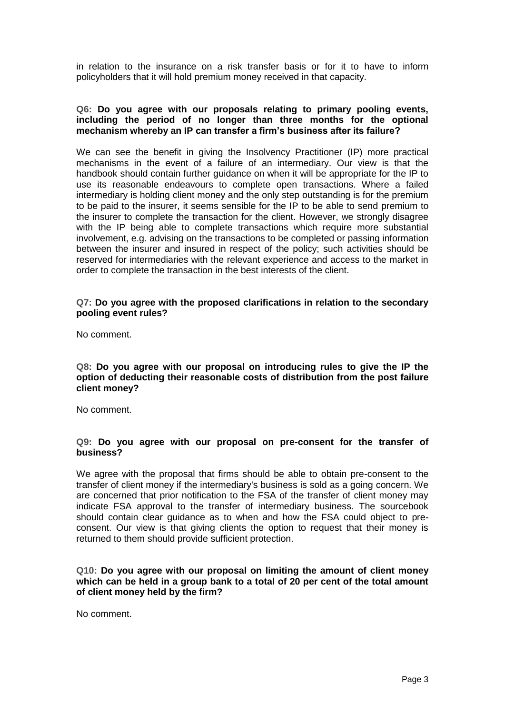in relation to the insurance on a risk transfer basis or for it to have to inform policyholders that it will hold premium money received in that capacity.

## **Q6: Do you agree with our proposals relating to primary pooling events, including the period of no longer than three months for the optional mechanism whereby an IP can transfer a firm's business after its failure?**

We can see the benefit in giving the Insolvency Practitioner (IP) more practical mechanisms in the event of a failure of an intermediary. Our view is that the handbook should contain further guidance on when it will be appropriate for the IP to use its reasonable endeavours to complete open transactions. Where a failed intermediary is holding client money and the only step outstanding is for the premium to be paid to the insurer, it seems sensible for the IP to be able to send premium to the insurer to complete the transaction for the client. However, we strongly disagree with the IP being able to complete transactions which require more substantial involvement, e.g. advising on the transactions to be completed or passing information between the insurer and insured in respect of the policy; such activities should be reserved for intermediaries with the relevant experience and access to the market in order to complete the transaction in the best interests of the client.

#### **Q7: Do you agree with the proposed clarifications in relation to the secondary pooling event rules?**

No comment.

**Q8: Do you agree with our proposal on introducing rules to give the IP the option of deducting their reasonable costs of distribution from the post failure client money?**

No comment.

# **Q9: Do you agree with our proposal on pre-consent for the transfer of business?**

We agree with the proposal that firms should be able to obtain pre-consent to the transfer of client money if the intermediary's business is sold as a going concern. We are concerned that prior notification to the FSA of the transfer of client money may indicate FSA approval to the transfer of intermediary business. The sourcebook should contain clear guidance as to when and how the FSA could object to preconsent. Our view is that giving clients the option to request that their money is returned to them should provide sufficient protection.

**Q10: Do you agree with our proposal on limiting the amount of client money which can be held in a group bank to a total of 20 per cent of the total amount of client money held by the firm?**

No comment.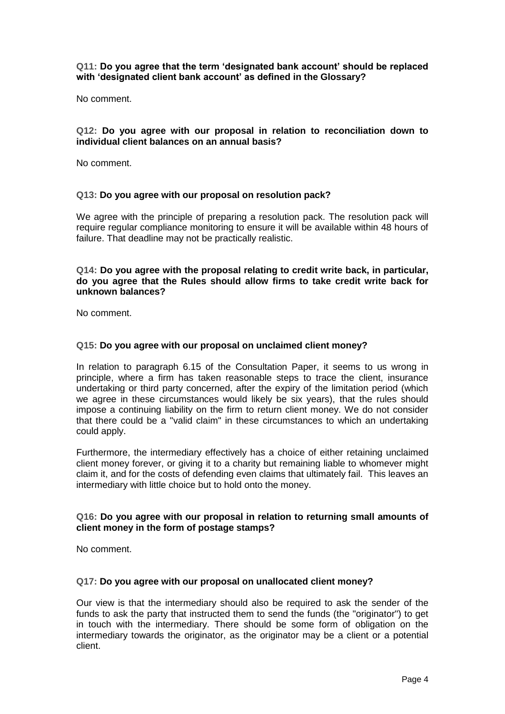## **Q11: Do you agree that the term 'designated bank account' should be replaced with 'designated client bank account' as defined in the Glossary?**

No comment.

### **Q12: Do you agree with our proposal in relation to reconciliation down to individual client balances on an annual basis?**

No comment.

#### **Q13: Do you agree with our proposal on resolution pack?**

We agree with the principle of preparing a resolution pack. The resolution pack will require regular compliance monitoring to ensure it will be available within 48 hours of failure. That deadline may not be practically realistic.

## **Q14: Do you agree with the proposal relating to credit write back, in particular, do you agree that the Rules should allow firms to take credit write back for unknown balances?**

No comment.

#### **Q15: Do you agree with our proposal on unclaimed client money?**

In relation to paragraph 6.15 of the Consultation Paper, it seems to us wrong in principle, where a firm has taken reasonable steps to trace the client, insurance undertaking or third party concerned, after the expiry of the limitation period (which we agree in these circumstances would likely be six years), that the rules should impose a continuing liability on the firm to return client money. We do not consider that there could be a "valid claim" in these circumstances to which an undertaking could apply.

Furthermore, the intermediary effectively has a choice of either retaining unclaimed client money forever, or giving it to a charity but remaining liable to whomever might claim it, and for the costs of defending even claims that ultimately fail. This leaves an intermediary with little choice but to hold onto the money.

## **Q16: Do you agree with our proposal in relation to returning small amounts of client money in the form of postage stamps?**

No comment.

#### **Q17: Do you agree with our proposal on unallocated client money?**

Our view is that the intermediary should also be required to ask the sender of the funds to ask the party that instructed them to send the funds (the "originator") to get in touch with the intermediary. There should be some form of obligation on the intermediary towards the originator, as the originator may be a client or a potential client.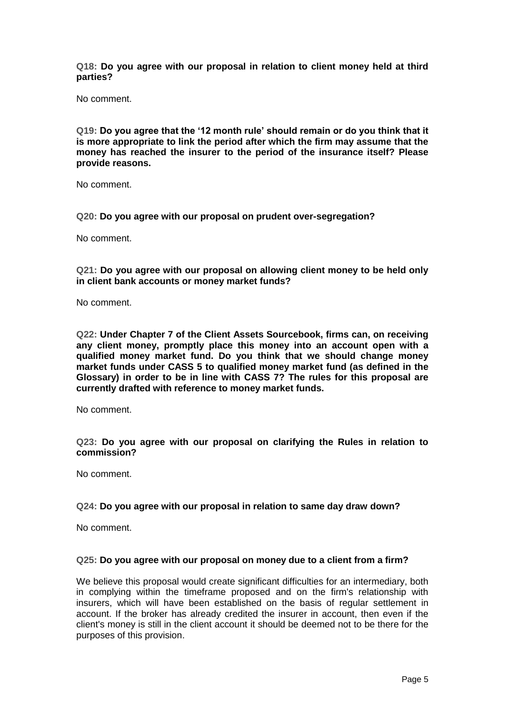**Q18: Do you agree with our proposal in relation to client money held at third parties?**

No comment.

**Q19: Do you agree that the '12 month rule' should remain or do you think that it is more appropriate to link the period after which the firm may assume that the money has reached the insurer to the period of the insurance itself? Please provide reasons.**

No comment.

**Q20: Do you agree with our proposal on prudent over-segregation?**

No comment.

**Q21: Do you agree with our proposal on allowing client money to be held only in client bank accounts or money market funds?**

No comment.

**Q22: Under Chapter 7 of the Client Assets Sourcebook, firms can, on receiving any client money, promptly place this money into an account open with a qualified money market fund. Do you think that we should change money market funds under CASS 5 to qualified money market fund (as defined in the Glossary) in order to be in line with CASS 7? The rules for this proposal are currently drafted with reference to money market funds.**

No comment.

**Q23: Do you agree with our proposal on clarifying the Rules in relation to commission?**

No comment.

#### **Q24: Do you agree with our proposal in relation to same day draw down?**

No comment.

#### **Q25: Do you agree with our proposal on money due to a client from a firm?**

We believe this proposal would create significant difficulties for an intermediary, both in complying within the timeframe proposed and on the firm's relationship with insurers, which will have been established on the basis of regular settlement in account. If the broker has already credited the insurer in account, then even if the client's money is still in the client account it should be deemed not to be there for the purposes of this provision.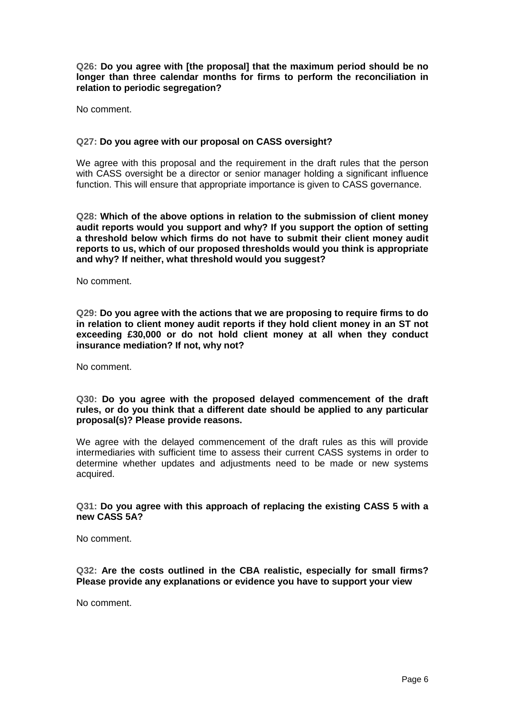**Q26: Do you agree with [the proposal] that the maximum period should be no longer than three calendar months for firms to perform the reconciliation in relation to periodic segregation?**

No comment.

#### **Q27: Do you agree with our proposal on CASS oversight?**

We agree with this proposal and the requirement in the draft rules that the person with CASS oversight be a director or senior manager holding a significant influence function. This will ensure that appropriate importance is given to CASS governance.

**Q28: Which of the above options in relation to the submission of client money audit reports would you support and why? If you support the option of setting a threshold below which firms do not have to submit their client money audit reports to us, which of our proposed thresholds would you think is appropriate and why? If neither, what threshold would you suggest?**

No comment.

**Q29: Do you agree with the actions that we are proposing to require firms to do in relation to client money audit reports if they hold client money in an ST not exceeding £30,000 or do not hold client money at all when they conduct insurance mediation? If not, why not?**

No comment.

**Q30: Do you agree with the proposed delayed commencement of the draft rules, or do you think that a different date should be applied to any particular proposal(s)? Please provide reasons.**

We agree with the delayed commencement of the draft rules as this will provide intermediaries with sufficient time to assess their current CASS systems in order to determine whether updates and adjustments need to be made or new systems acquired.

#### **Q31: Do you agree with this approach of replacing the existing CASS 5 with a new CASS 5A?**

No comment.

**Q32: Are the costs outlined in the CBA realistic, especially for small firms? Please provide any explanations or evidence you have to support your view**

No comment.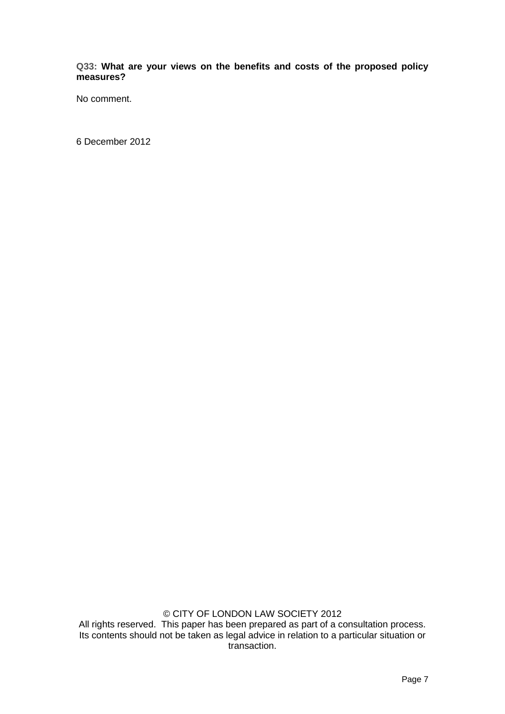**Q33: What are your views on the benefits and costs of the proposed policy measures?**

No comment.

6 December 2012

© CITY OF LONDON LAW SOCIETY 2012 All rights reserved. This paper has been prepared as part of a consultation process. Its contents should not be taken as legal advice in relation to a particular situation or transaction.